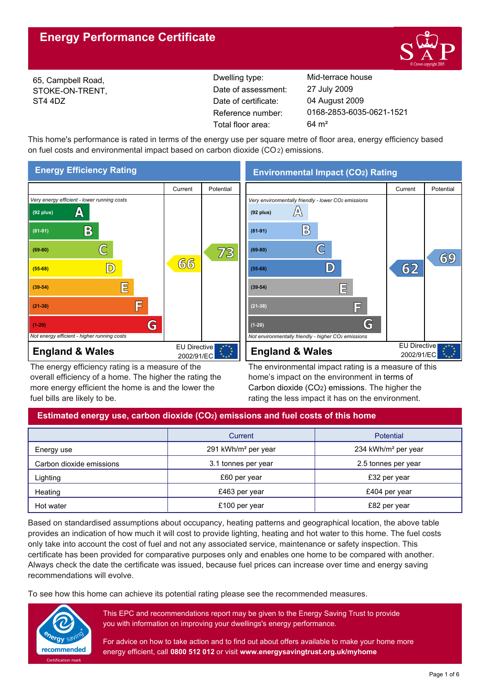# **Energy Performance Certificate**



65, Campbell Road, STOKE-ON-TRENT, ST4 4DZ

Reference number: Date of certificate: Total floor area: 64 m² Date of assessment:

Dwelling type: Mid-terrace house 0168-2853-6035-0621-1521 04 August 2009 27 July 2009

This home's performance is rated in terms of the energy use per square metre of floor area, energy efficiency based on fuel costs and environmental impact based on carbon dioxide (CO2) emissions.



The energy efficiency rating is a measure of the overall efficiency of a home. The higher the rating the more energy efficient the home is and the lower the fuel bills are likely to be.

The environmental impact rating is a measure of this home's impact on the environment in terms of Carbon dioxide (CO2) emissions. The higher the rating the less impact it has on the environment.

# **Estimated energy use, carbon dioxide (CO2) emissions and fuel costs of this home**

|                          | Current                         | <b>Potential</b>                |  |  |
|--------------------------|---------------------------------|---------------------------------|--|--|
| Energy use               | 291 kWh/m <sup>2</sup> per year | 234 kWh/m <sup>2</sup> per year |  |  |
| Carbon dioxide emissions | 3.1 tonnes per year             | 2.5 tonnes per year             |  |  |
| Lighting                 | £60 per year                    | £32 per year                    |  |  |
| Heating                  | £463 per year                   | £404 per year                   |  |  |
| Hot water                | £100 per year                   | £82 per year                    |  |  |

Based on standardised assumptions about occupancy, heating patterns and geographical location, the above table provides an indication of how much it will cost to provide lighting, heating and hot water to this home. The fuel costs only take into account the cost of fuel and not any associated service, maintenance or safety inspection. This certificate has been provided for comparative purposes only and enables one home to be compared with another. Always check the date the certificate was issued, because fuel prices can increase over time and energy saving recommendations will evolve.

To see how this home can achieve its potential rating please see the recommended measures.



This EPC and recommendations report may be given to the Energy Saving Trust to provide you with information on improving your dwellings's energy performance.

For advice on how to take action and to find out about offers available to make your home more energy efficient, call **0800 512 012** or visit **www.energysavingtrust.org.uk/myhome**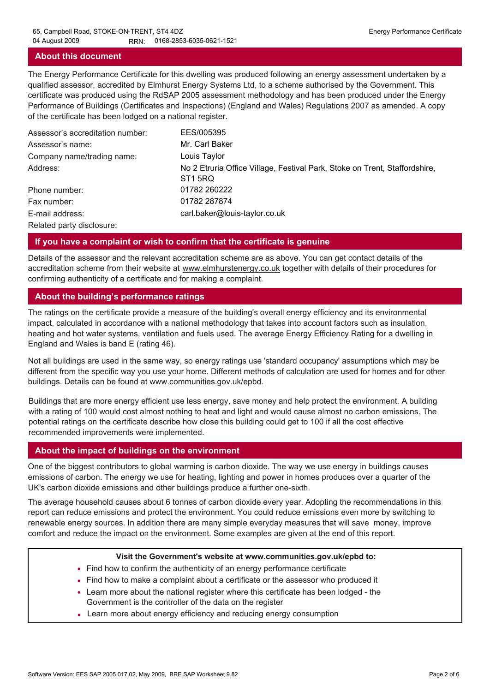#### **About this document**

The Energy Performance Certificate for this dwelling was produced following an energy assessment undertaken by a qualified assessor, accredited by Elmhurst Energy Systems Ltd, to a scheme authorised by the Government. This certificate was produced using the RdSAP 2005 assessment methodology and has been produced under the Energy Performance of Buildings (Certificates and Inspections) (England and Wales) Regulations 2007 as amended. A copy of the certificate has been lodged on a national register.

| Assessor's accreditation number: | EES/005395                                                                                        |
|----------------------------------|---------------------------------------------------------------------------------------------------|
| Assessor's name:                 | Mr. Carl Baker                                                                                    |
| Company name/trading name:       | Louis Taylor                                                                                      |
| Address:                         | No 2 Etruria Office Village, Festival Park, Stoke on Trent, Staffordshire,<br>ST <sub>1</sub> 5RQ |
| Phone number:                    | 01782 260222                                                                                      |
| Fax number:                      | 01782 287874                                                                                      |
| E-mail address:                  | carl.baker@louis-taylor.co.uk                                                                     |
| Related party disclosure:        |                                                                                                   |

#### **If you have a complaint or wish to confirm that the certificate is genuine**

Details of the assessor and the relevant accreditation scheme are as above. You can get contact details of the accreditation scheme from their website at www.elmhurstenergy.co.uk together with details of their procedures for confirming authenticity of a certificate and for making a complaint.

#### **About the building's performance ratings**

The ratings on the certificate provide a measure of the building's overall energy efficiency and its environmental impact, calculated in accordance with a national methodology that takes into account factors such as insulation, heating and hot water systems, ventilation and fuels used. The average Energy Efficiency Rating for a dwelling in England and Wales is band E (rating 46).

Not all buildings are used in the same way, so energy ratings use 'standard occupancy' assumptions which may be different from the specific way you use your home. Different methods of calculation are used for homes and for other buildings. Details can be found at www.communities.gov.uk/epbd.

Buildings that are more energy efficient use less energy, save money and help protect the environment. A building with a rating of 100 would cost almost nothing to heat and light and would cause almost no carbon emissions. The potential ratings on the certificate describe how close this building could get to 100 if all the cost effective recommended improvements were implemented.

#### **About the impact of buildings on the environment**

One of the biggest contributors to global warming is carbon dioxide. The way we use energy in buildings causes emissions of carbon. The energy we use for heating, lighting and power in homes produces over a quarter of the UK's carbon dioxide emissions and other buildings produce a further one-sixth.

The average household causes about 6 tonnes of carbon dioxide every year. Adopting the recommendations in this report can reduce emissions and protect the environment. You could reduce emissions even more by switching to renewable energy sources. In addition there are many simple everyday measures that will save money, improve comfort and reduce the impact on the environment. Some examples are given at the end of this report.

#### **Visit the Government's website at www.communities.gov.uk/epbd to:**

- Find how to confirm the authenticity of an energy performance certificate
- Find how to make a complaint about a certificate or the assessor who produced it •
- Learn more about the national register where this certificate has been lodged the Government is the controller of the data on the register
- Learn more about energy efficiency and reducing energy consumption •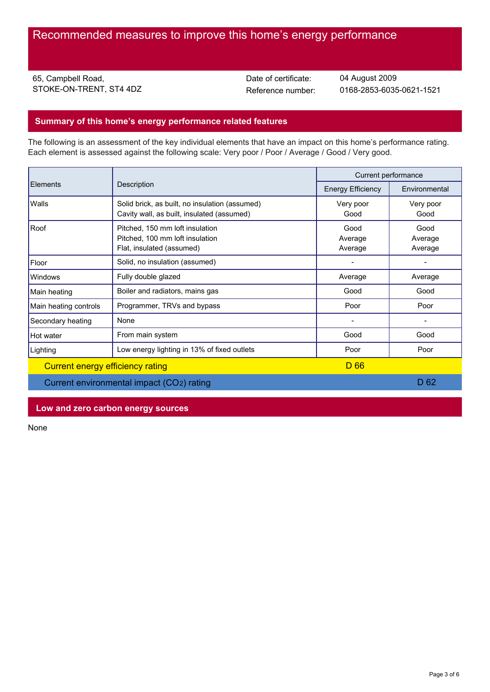65, Campbell Road, STOKE-ON-TRENT, ST4 4DZ Date of certificate:

Reference number: 0168-2853-6035-0621-1521 04 August 2009

# **Summary of this home's energy performance related features**

The following is an assessment of the key individual elements that have an impact on this home's performance rating. Each element is assessed against the following scale: Very poor / Poor / Average / Good / Very good.

| <b>Elements</b>                  | Description                                                                                     | Current performance        |                            |
|----------------------------------|-------------------------------------------------------------------------------------------------|----------------------------|----------------------------|
|                                  |                                                                                                 | <b>Energy Efficiency</b>   | Environmental              |
| Walls                            | Solid brick, as built, no insulation (assumed)<br>Cavity wall, as built, insulated (assumed)    | Very poor<br>Good          | Very poor<br>Good          |
| Roof                             | Pitched, 150 mm loft insulation<br>Pitched, 100 mm loft insulation<br>Flat, insulated (assumed) | Good<br>Average<br>Average | Good<br>Average<br>Average |
| Floor                            | Solid, no insulation (assumed)                                                                  |                            |                            |
| <b>Windows</b>                   | Fully double glazed                                                                             | Average                    | Average                    |
| Main heating                     | Boiler and radiators, mains gas                                                                 | Good                       | Good                       |
| Main heating controls            | Programmer, TRVs and bypass                                                                     | Poor                       | Poor                       |
| Secondary heating                | None                                                                                            |                            |                            |
| Hot water                        | From main system                                                                                | Good                       | Good                       |
| Lighting                         | Low energy lighting in 13% of fixed outlets                                                     | Poor                       | Poor                       |
| Current energy efficiency rating |                                                                                                 | D 66                       |                            |
|                                  | Current environmental impact (CO2) rating                                                       |                            | D 62                       |

### **Low and zero carbon energy sources**

None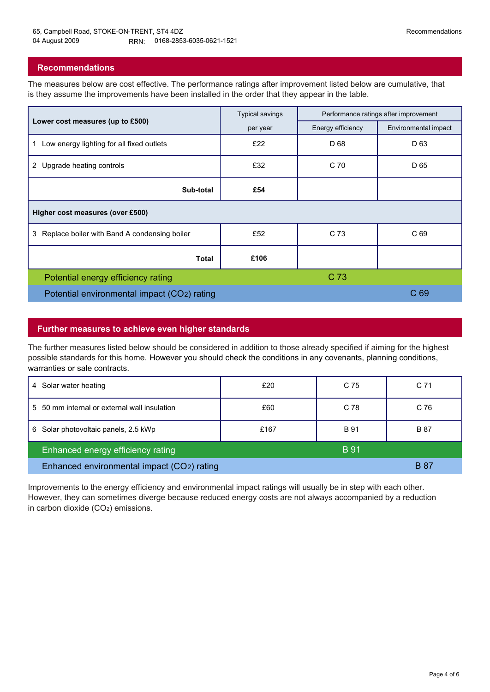# **Recommendations**

The measures below are cost effective. The performance ratings after improvement listed below are cumulative, that is they assume the improvements have been installed in the order that they appear in the table.

|                                                   | <b>Typical savings</b> | Performance ratings after improvement |                      |  |  |  |
|---------------------------------------------------|------------------------|---------------------------------------|----------------------|--|--|--|
| Lower cost measures (up to £500)                  | per year               | Energy efficiency                     | Environmental impact |  |  |  |
| Low energy lighting for all fixed outlets<br>1    | £22                    | D 68                                  | D <sub>63</sub>      |  |  |  |
| 2 Upgrade heating controls                        | £32                    | C 70                                  | D 65                 |  |  |  |
| Sub-total                                         | £54                    |                                       |                      |  |  |  |
| Higher cost measures (over £500)                  |                        |                                       |                      |  |  |  |
| Replace boiler with Band A condensing boiler<br>3 | £52                    | C 73                                  | C <sub>69</sub>      |  |  |  |
| Total                                             | £106                   |                                       |                      |  |  |  |
| Potential energy efficiency rating                |                        | C <sub>73</sub>                       |                      |  |  |  |
| Potential environmental impact (CO2) rating       |                        |                                       | C <sub>69</sub>      |  |  |  |

# **Further measures to achieve even higher standards**

The further measures listed below should be considered in addition to those already specified if aiming for the highest possible standards for this home. However you should check the conditions in any covenants, planning conditions, warranties or sale contracts.

| Solar water heating<br>4                         | £20  | C 75        | C 71        |
|--------------------------------------------------|------|-------------|-------------|
| 5 50 mm internal or external wall insulation     | £60  | C 78        | C 76        |
| Solar photovoltaic panels, 2.5 kWp<br>6          | £167 | <b>B</b> 91 | <b>B</b> 87 |
| <b>B</b> 91<br>Enhanced energy efficiency rating |      |             |             |
| Enhanced environmental impact (CO2) rating       |      |             | B 87        |

Improvements to the energy efficiency and environmental impact ratings will usually be in step with each other. However, they can sometimes diverge because reduced energy costs are not always accompanied by a reduction in carbon dioxide (CO2) emissions.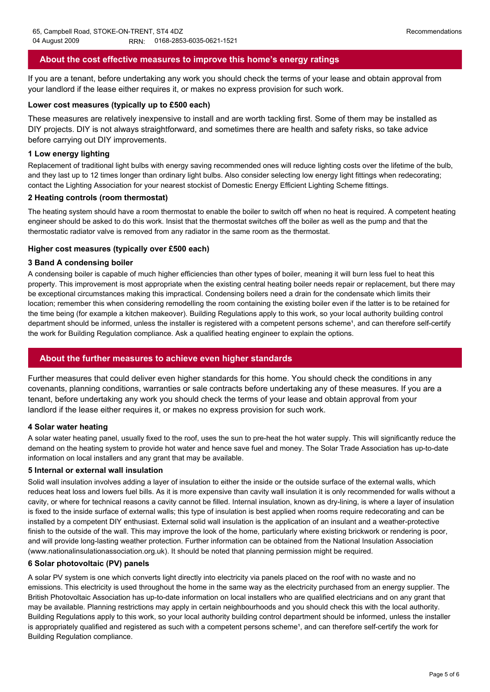# **About the cost effective measures to improve this home's energy ratings**

If you are a tenant, before undertaking any work you should check the terms of your lease and obtain approval from your landlord if the lease either requires it, or makes no express provision for such work.

#### **Lower cost measures (typically up to £500 each)**

These measures are relatively inexpensive to install and are worth tackling first. Some of them may be installed as DIY projects. DIY is not always straightforward, and sometimes there are health and safety risks, so take advice before carrying out DIY improvements.

#### **1 Low energy lighting**

Replacement of traditional light bulbs with energy saving recommended ones will reduce lighting costs over the lifetime of the bulb, and they last up to 12 times longer than ordinary light bulbs. Also consider selecting low energy light fittings when redecorating; contact the Lighting Association for your nearest stockist of Domestic Energy Efficient Lighting Scheme fittings.

#### **2 Heating controls (room thermostat)**

The heating system should have a room thermostat to enable the boiler to switch off when no heat is required. A competent heating engineer should be asked to do this work. Insist that the thermostat switches off the boiler as well as the pump and that the thermostatic radiator valve is removed from any radiator in the same room as the thermostat.

#### **Higher cost measures (typically over £500 each)**

#### **3 Band A condensing boiler**

A condensing boiler is capable of much higher efficiencies than other types of boiler, meaning it will burn less fuel to heat this property. This improvement is most appropriate when the existing central heating boiler needs repair or replacement, but there may be exceptional circumstances making this impractical. Condensing boilers need a drain for the condensate which limits their location; remember this when considering remodelling the room containing the existing boiler even if the latter is to be retained for the time being (for example a kitchen makeover). Building Regulations apply to this work, so your local authority building control department should be informed, unless the installer is registered with a competent persons scheme<sup>1</sup>, and can therefore self-certify the work for Building Regulation compliance. Ask a qualified heating engineer to explain the options.

#### **About the further measures to achieve even higher standards**

Further measures that could deliver even higher standards for this home. You should check the conditions in any covenants, planning conditions, warranties or sale contracts before undertaking any of these measures. If you are a tenant, before undertaking any work you should check the terms of your lease and obtain approval from your landlord if the lease either requires it, or makes no express provision for such work.

#### **4 Solar water heating**

A solar water heating panel, usually fixed to the roof, uses the sun to pre-heat the hot water supply. This will significantly reduce the demand on the heating system to provide hot water and hence save fuel and money. The Solar Trade Association has up-to-date information on local installers and any grant that may be available.

#### **5 Internal or external wall insulation**

Solid wall insulation involves adding a layer of insulation to either the inside or the outside surface of the external walls, which reduces heat loss and lowers fuel bills. As it is more expensive than cavity wall insulation it is only recommended for walls without a cavity, or where for technical reasons a cavity cannot be filled. Internal insulation, known as dry-lining, is where a layer of insulation is fixed to the inside surface of external walls; this type of insulation is best applied when rooms require redecorating and can be installed by a competent DIY enthusiast. External solid wall insulation is the application of an insulant and a weather-protective finish to the outside of the wall. This may improve the look of the home, particularly where existing brickwork or rendering is poor, and will provide long-lasting weather protection. Further information can be obtained from the National Insulation Association (www.nationalinsulationassociation.org.uk). It should be noted that planning permission might be required.

#### **6 Solar photovoltaic (PV) panels**

A solar PV system is one which converts light directly into electricity via panels placed on the roof with no waste and no emissions. This electricity is used throughout the home in the same way as the electricity purchased from an energy supplier. The British Photovoltaic Association has up-to-date information on local installers who are qualified electricians and on any grant that may be available. Planning restrictions may apply in certain neighbourhoods and you should check this with the local authority. Building Regulations apply to this work, so your local authority building control department should be informed, unless the installer is appropriately qualified and registered as such with a competent persons scheme<sup>1</sup>, and can therefore self-certify the work for Building Regulation compliance.